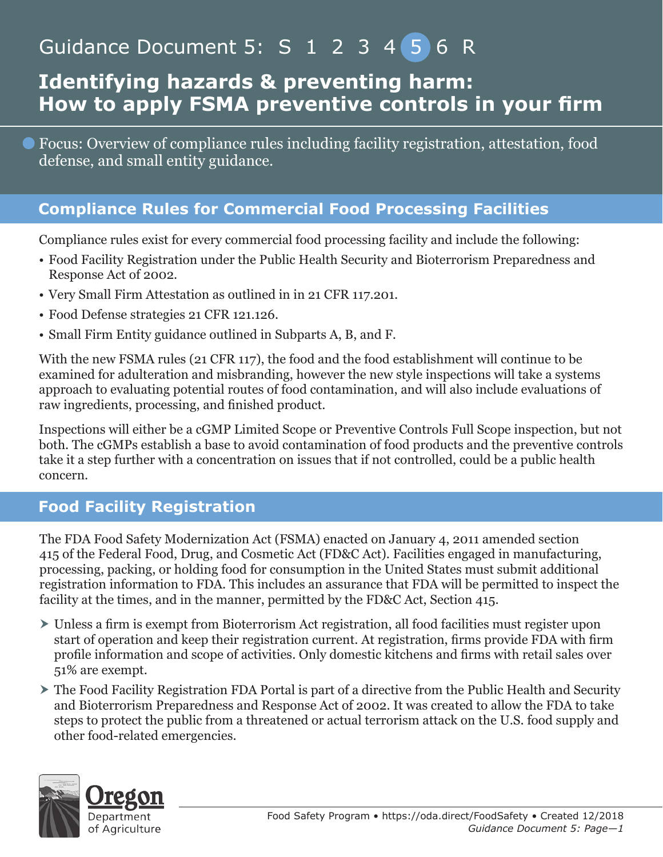# Guidance Document 5: S 1 2 3 4 5 6 R

# **Identifying hazards & preventing harm: How to apply FSMA preventive controls in your firm**

Focus: Overview of compliance rules including facility registration, attestation, food defense, and small entity guidance.

#### **Compliance Rules for Commercial Food Processing Facilities**

Compliance rules exist for every commercial food processing facility and include the following:

- Food Facility Registration under the Public Health Security and Bioterrorism Preparedness and Response Act of 2002.
- Very Small Firm Attestation as outlined in in 21 CFR 117.201.
- Food Defense strategies 21 CFR 121.126.
- Small Firm Entity guidance outlined in Subparts A, B, and F.

With the new FSMA rules (21 CFR 117), the food and the food establishment will continue to be examined for adulteration and misbranding, however the new style inspections will take a systems approach to evaluating potential routes of food contamination, and will also include evaluations of raw ingredients, processing, and finished product.

Inspections will either be a cGMP Limited Scope or Preventive Controls Full Scope inspection, but not both. The cGMPs establish a base to avoid contamination of food products and the preventive controls take it a step further with a concentration on issues that if not controlled, could be a public health concern.

#### **Food Facility Registration**

The FDA Food Safety Modernization Act (FSMA) enacted on January 4, 2011 amended section 415 of the Federal Food, Drug, and Cosmetic Act (FD&C Act). Facilities engaged in manufacturing, processing, packing, or holding food for consumption in the United States must submit additional registration information to FDA. This includes an assurance that FDA will be permitted to inspect the facility at the times, and in the manner, permitted by the FD&C Act, Section 415.

- Unless a firm is exempt from Bioterrorism Act registration, all food facilities must register upon start of operation and keep their registration current. At registration, firms provide FDA with firm profile information and scope of activities. Only domestic kitchens and firms with retail sales over 51% are exempt.
- The Food Facility Registration FDA Portal is part of a directive from the Public Health and Security and Bioterrorism Preparedness and Response Act of 2002. It was created to allow the FDA to take steps to protect the public from a threatened or actual terrorism attack on the U.S. food supply and other food-related emergencies.

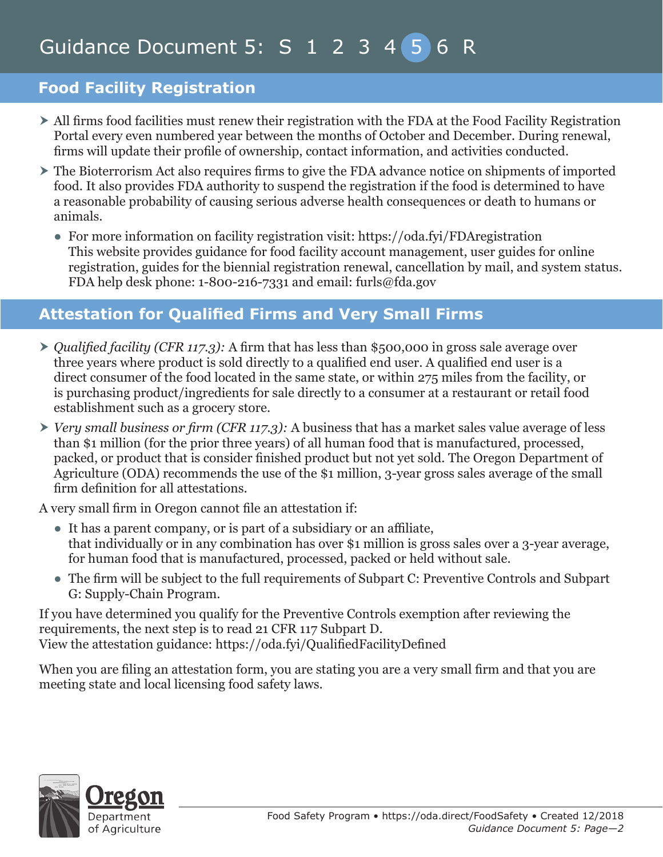#### **Food Facility Registration**

- All firms food facilities must renew their registration with the FDA at the Food Facility Registration Portal every even numbered year between the months of October and December. During renewal, firms will update their profile of ownership, contact information, and activities conducted.
- $\triangleright$  The Bioterrorism Act also requires firms to give the FDA advance notice on shipments of imported food. It also provides FDA authority to suspend the registration if the food is determined to have a reasonable probability of causing serious adverse health consequences or death to humans or animals.
	- For more information on facility registration visit: https://oda.fyi/FDAregistration This website provides guidance for food facility account management, user guides for online registration, guides for the biennial registration renewal, cancellation by mail, and system status. FDA help desk phone: 1-800-216-7331 and email: furls@fda.gov

#### **Attestation for Qualified Firms and Very Small Firms**

- ▶ *Qualified facility (CFR 117.3):* A firm that has less than \$500,000 in gross sale average over three years where product is sold directly to a qualified end user. A qualified end user is a direct consumer of the food located in the same state, or within 275 miles from the facility, or is purchasing product/ingredients for sale directly to a consumer at a restaurant or retail food establishment such as a grocery store.
- *Very small business or firm (CFR 117.3):* A business that has a market sales value average of less than \$1 million (for the prior three years) of all human food that is manufactured, processed, packed, or product that is consider finished product but not yet sold. The Oregon Department of Agriculture (ODA) recommends the use of the \$1 million, 3-year gross sales average of the small firm definition for all attestations.

A very small firm in Oregon cannot file an attestation if:

- It has a parent company, or is part of a subsidiary or an affiliate, that individually or in any combination has over \$1 million is gross sales over a 3-year average, for human food that is manufactured, processed, packed or held without sale.
- The firm will be subject to the full requirements of Subpart C: Preventive Controls and Subpart G: Supply-Chain Program.

If you have determined you qualify for the Preventive Controls exemption after reviewing the requirements, the next step is to read 21 CFR 117 Subpart D. View the attestation guidance: https://oda.fyi/QualifiedFacilityDefined

When you are filing an attestation form, you are stating you are a very small firm and that you are meeting state and local licensing food safety laws.